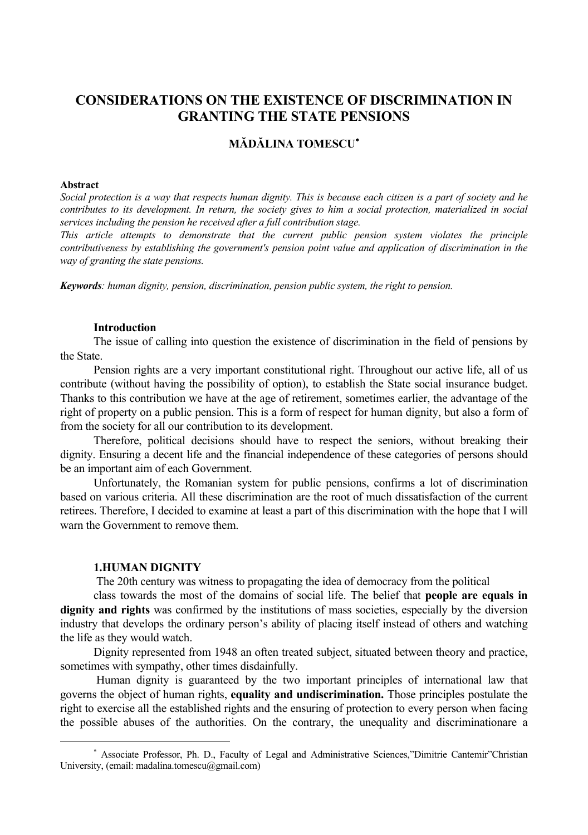# **CONSIDERATIONS ON THE EXISTENCE OF DISCRIMINATION IN GRANTING THE STATE PENSIONS**

## **MĂDĂLINA TOMESCU**<sup>∗</sup>

### **Abstract**

*Social protection is a way that respects human dignity. This is because each citizen is a part of society and he contributes to its development. In return, the society gives to him a social protection, materialized in social services including the pension he received after a full contribution stage.* 

*This article attempts to demonstrate that the current public pension system violates the principle contributiveness by establishing the government's pension point value and application of discrimination in the way of granting the state pensions.* 

*Keywords: human dignity, pension, discrimination, pension public system, the right to pension.* 

#### **Introduction**

The issue of calling into question the existence of discrimination in the field of pensions by the State.

Pension rights are a very important constitutional right. Throughout our active life, all of us contribute (without having the possibility of option), to establish the State social insurance budget. Thanks to this contribution we have at the age of retirement, sometimes earlier, the advantage of the right of property on a public pension. This is a form of respect for human dignity, but also a form of from the society for all our contribution to its development.

Therefore, political decisions should have to respect the seniors, without breaking their dignity. Ensuring a decent life and the financial independence of these categories of persons should be an important aim of each Government.

Unfortunately, the Romanian system for public pensions, confirms a lot of discrimination based on various criteria. All these discrimination are the root of much dissatisfaction of the current retirees. Therefore, I decided to examine at least a part of this discrimination with the hope that I will warn the Government to remove them.

### **1.HUMAN DIGNITY**

 $\overline{a}$ 

The 20th century was witness to propagating the idea of democracy from the political

class towards the most of the domains of social life. The belief that **people are equals in dignity and rights** was confirmed by the institutions of mass societies, especially by the diversion industry that develops the ordinary person's ability of placing itself instead of others and watching the life as they would watch.

Dignity represented from 1948 an often treated subject, situated between theory and practice, sometimes with sympathy, other times disdainfully.

 Human dignity is guaranteed by the two important principles of international law that governs the object of human rights, **equality and undiscrimination.** Those principles postulate the right to exercise all the established rights and the ensuring of protection to every person when facing the possible abuses of the authorities. On the contrary, the unequality and discriminationare a

<sup>∗</sup> Associate Professor, Ph. D., Faculty of Legal and Administrative Sciences,"Dimitrie Cantemir"Christian University, (email: madalina.tomescu@gmail.com)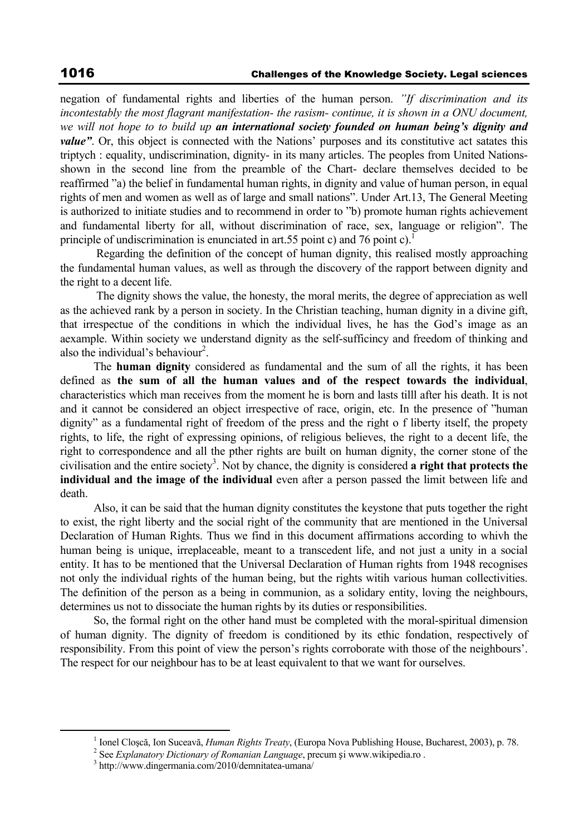negation of fundamental rights and liberties of the human person. *"If discrimination and its incontestably the most flagrant manifestation- the rasism- continue, it is shown in a ONU document, we will not hope to to build up an international society founded on human being's dignity and value*". Or, this object is connected with the Nations' purposes and its constitutive act satates this triptych : equality, undiscrimination, dignity- in its many articles. The peoples from United Nationsshown in the second line from the preamble of the Chart- declare themselves decided to be reaffirmed "a) the belief in fundamental human rights, in dignity and value of human person, in equal rights of men and women as well as of large and small nations". Under Art.13, The General Meeting is authorized to initiate studies and to recommend in order to "b) promote human rights achievement and fundamental liberty for all, without discrimination of race, sex, language or religion". The principle of undiscrimination is enunciated in art.55 point c) and 76 point c).<sup>1</sup>

 Regarding the definition of the concept of human dignity, this realised mostly approaching the fundamental human values, as well as through the discovery of the rapport between dignity and the right to a decent life.

 The dignity shows the value, the honesty, the moral merits, the degree of appreciation as well as the achieved rank by a person in society. In the Christian teaching, human dignity in a divine gift, that irrespectue of the conditions in which the individual lives, he has the God's image as an aexample. Within society we understand dignity as the self-sufficincy and freedom of thinking and also the individual's behaviour<sup>2</sup>.

The **human dignity** considered as fundamental and the sum of all the rights, it has been defined as **the sum of all the human values and of the respect towards the individual**, characteristics which man receives from the moment he is born and lasts tilll after his death. It is not and it cannot be considered an object irrespective of race, origin, etc. In the presence of "human dignity" as a fundamental right of freedom of the press and the right o f liberty itself, the propety rights, to life, the right of expressing opinions, of religious believes, the right to a decent life, the right to correspondence and all the pther rights are built on human dignity, the corner stone of the civilisation and the entire society<sup>3</sup>. Not by chance, the dignity is considered **a right that protects the individual and the image of the individual** even after a person passed the limit between life and death.

Also, it can be said that the human dignity constitutes the keystone that puts together the right to exist, the right liberty and the social right of the community that are mentioned in the Universal Declaration of Human Rights. Thus we find in this document affirmations according to whivh the human being is unique, irreplaceable, meant to a transcedent life, and not just a unity in a social entity. It has to be mentioned that the Universal Declaration of Human rights from 1948 recognises not only the individual rights of the human being, but the rights witih various human collectivities. The definition of the person as a being in communion, as a solidary entity, loving the neighbours, determines us not to dissociate the human rights by its duties or responsibilities.

So, the formal right on the other hand must be completed with the moral-spiritual dimension of human dignity. The dignity of freedom is conditioned by its ethic fondation, respectively of responsibility. From this point of view the person's rights corroborate with those of the neighbours'. The respect for our neighbour has to be at least equivalent to that we want for ourselves.

 $\frac{1}{1}$ <sup>1</sup> Ionel Closcă, Ion Suceavă, *Human Rights Treaty*, (Europa Nova Publishing House, Bucharest, 2003), p. 78.

<sup>&</sup>lt;sup>2</sup> See *Explanatory Dictionary of Romanian Language*, precum și www.wikipedia.ro.

<sup>&</sup>lt;sup>3</sup> http://www.dingermania.com/2010/demnitatea-umana/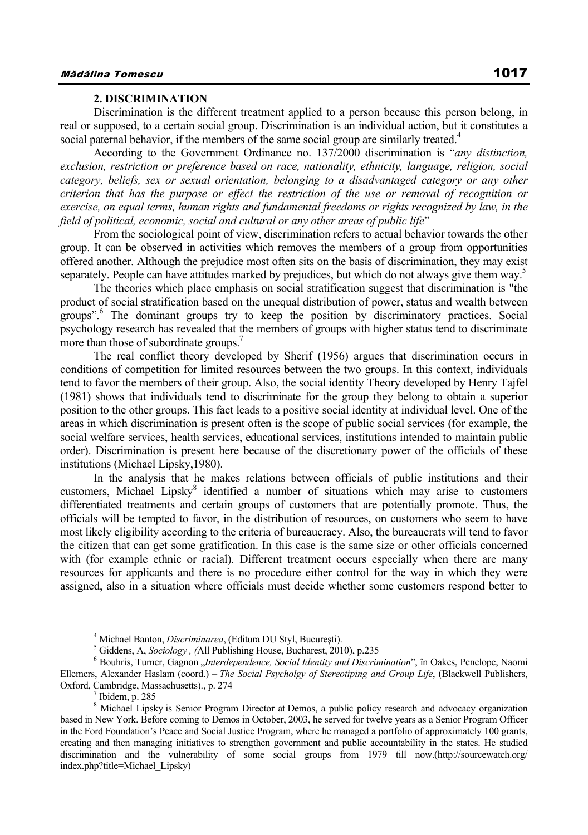#### **2. DISCRIMINATION**

Discrimination is the different treatment applied to a person because this person belong, in real or supposed, to a certain social group. Discrimination is an individual action, but it constitutes a social paternal behavior, if the members of the same social group are similarly treated.<sup>4</sup>

According to the Government Ordinance no. 137/2000 discrimination is "*any distinction, exclusion, restriction or preference based on race, nationality, ethnicity, language, religion, social category, beliefs, sex or sexual orientation, belonging to a disadvantaged category or any other criterion that has the purpose or effect the restriction of the use or removal of recognition or exercise, on equal terms, human rights and fundamental freedoms or rights recognized by law, in the field of political, economic, social and cultural or any other areas of public life*"

From the sociological point of view, discrimination refers to actual behavior towards the other group. It can be observed in activities which removes the members of a group from opportunities offered another. Although the prejudice most often sits on the basis of discrimination, they may exist separately. People can have attitudes marked by prejudices, but which do not always give them way.<sup>5</sup>

The theories which place emphasis on social stratification suggest that discrimination is "the product of social stratification based on the unequal distribution of power, status and wealth between groups".<sup>6</sup> The dominant groups try to keep the position by discriminatory practices. Social psychology research has revealed that the members of groups with higher status tend to discriminate more than those of subordinate groups.<sup>7</sup>

The real conflict theory developed by Sherif (1956) argues that discrimination occurs in conditions of competition for limited resources between the two groups. In this context, individuals tend to favor the members of their group. Also, the social identity Theory developed by Henry Tajfel (1981) shows that individuals tend to discriminate for the group they belong to obtain a superior position to the other groups. This fact leads to a positive social identity at individual level. One of the areas in which discrimination is present often is the scope of public social services (for example, the social welfare services, health services, educational services, institutions intended to maintain public order). Discrimination is present here because of the discretionary power of the officials of these institutions (Michael Lipsky,1980).

In the analysis that he makes relations between officials of public institutions and their customers, Michael Lipsky<sup>8</sup> identified a number of situations which may arise to customers differentiated treatments and certain groups of customers that are potentially promote. Thus, the officials will be tempted to favor, in the distribution of resources, on customers who seem to have most likely eligibility according to the criteria of bureaucracy. Also, the bureaucrats will tend to favor the citizen that can get some gratification. In this case is the same size or other officials concerned with (for example ethnic or racial). Different treatment occurs especially when there are many resources for applicants and there is no procedure either control for the way in which they were assigned, also in a situation where officials must decide whether some customers respond better to

 $\frac{1}{4}$ <sup>4</sup> Michael Banton, *Discriminarea*, (Editura DU Styl, București).

<sup>&</sup>lt;sup>5</sup> Giddens, A, *Sociology* , (All Publishing House, Bucharest, 2010), p.235

<sup>&</sup>lt;sup>6</sup> Bouhris, Turner, Gagnon "*Interdependence, Social Identity and Discrimination*", în Oakes, Penelope, Naomi Ellemers, Alexander Haslam (coord.) – *The Social Psycholgy of Stereotiping and Group Life*, (Blackwell Publishers, Oxford, Cambridge, Massachusetts)., p. 274

Ibidem, p. 285

<sup>&</sup>lt;sup>8</sup> Michael Lipsky is Senior Program Director at Demos, a public policy research and advocacy organization based in New York. Before coming to Demos in October, 2003, he served for twelve years as a Senior Program Officer in the Ford Foundation's Peace and Social Justice Program, where he managed a portfolio of approximately 100 grants, creating and then managing initiatives to strengthen government and public accountability in the states. He studied discrimination and the vulnerability of some social groups from 1979 till now.(http://sourcewatch.org/ index.php?title=Michael\_Lipsky)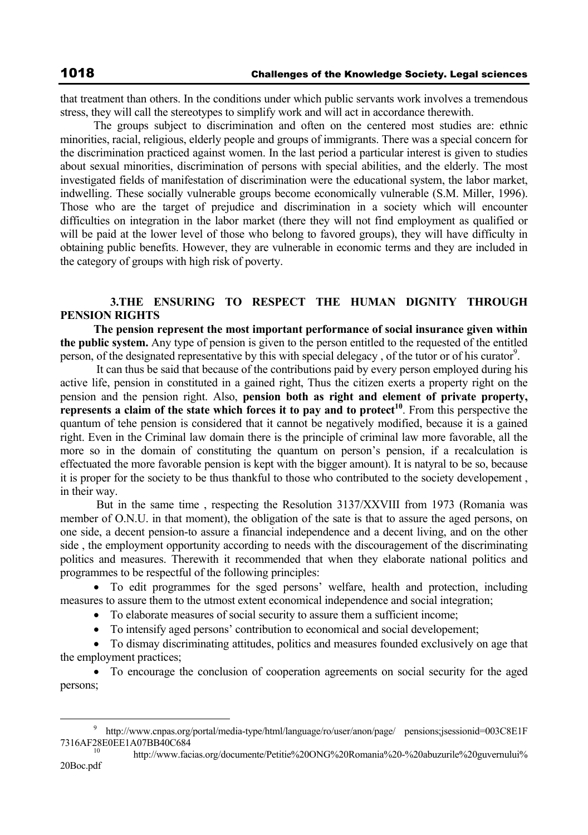that treatment than others. In the conditions under which public servants work involves a tremendous stress, they will call the stereotypes to simplify work and will act in accordance therewith.

The groups subject to discrimination and often on the centered most studies are: ethnic minorities, racial, religious, elderly people and groups of immigrants. There was a special concern for the discrimination practiced against women. In the last period a particular interest is given to studies about sexual minorities, discrimination of persons with special abilities, and the elderly. The most investigated fields of manifestation of discrimination were the educational system, the labor market, indwelling. These socially vulnerable groups become economically vulnerable (S.M. Miller, 1996). Those who are the target of prejudice and discrimination in a society which will encounter difficulties on integration in the labor market (there they will not find employment as qualified or will be paid at the lower level of those who belong to favored groups), they will have difficulty in obtaining public benefits. However, they are vulnerable in economic terms and they are included in the category of groups with high risk of poverty.

## **3.THE ENSURING TO RESPECT THE HUMAN DIGNITY THROUGH PENSION RIGHTS**

**The pension represent the most important performance of social insurance given within the public system.** Any type of pension is given to the person entitled to the requested of the entitled person, of the designated representative by this with special delegacy, of the tutor or of his curator<sup>9</sup>.

 It can thus be said that because of the contributions paid by every person employed during his active life, pension in constituted in a gained right, Thus the citizen exerts a property right on the pension and the pension right. Also, **pension both as right and element of private property, represents a claim of the state which forces it to pay and to protect<sup>10</sup>. From this perspective the** quantum of tehe pension is considered that it cannot be negatively modified, because it is a gained right. Even in the Criminal law domain there is the principle of criminal law more favorable, all the more so in the domain of constituting the quantum on person's pension, if a recalculation is effectuated the more favorable pension is kept with the bigger amount). It is natyral to be so, because it is proper for the society to be thus thankful to those who contributed to the society developement , in their way.

 But in the same time , respecting the Resolution 3137/XXVIII from 1973 (Romania was member of O.N.U. in that moment), the obligation of the sate is that to assure the aged persons, on one side, a decent pension-to assure a financial independence and a decent living, and on the other side , the employment opportunity according to needs with the discouragement of the discriminating politics and measures. Therewith it recommended that when they elaborate national politics and programmes to be respectful of the following principles:

• To edit programmes for the sged persons' welfare, health and protection, including measures to assure them to the utmost extent economical independence and social integration;

- To elaborate measures of social security to assure them a sufficient income;
- To intensify aged persons' contribution to economical and social developement;

• To dismay discriminating attitudes, politics and measures founded exclusively on age that the employment practices;

• To encourage the conclusion of cooperation agreements on social security for the aged persons;

 <sup>9</sup> http://www.cnpas.org/portal/media-type/html/language/ro/user/anon/page/ pensions;jsessionid=003C8E1F

<sup>7316</sup>AF28E0EE1A07BB40C684 10 http://www.facias.org/documente/Petitie%20ONG%20Romania%20-%20abuzurile%20guvernului% 20Boc.pdf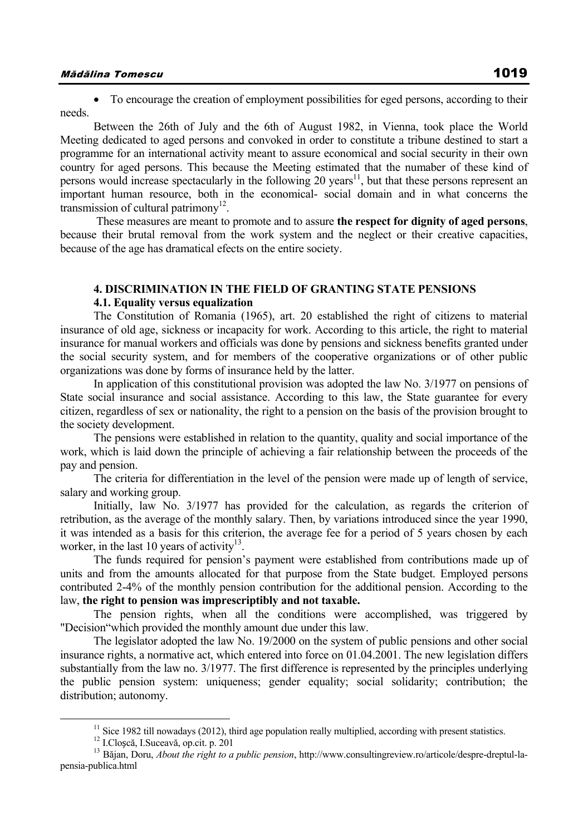• To encourage the creation of employment possibilities for eged persons, according to their needs.

Between the 26th of July and the 6th of August 1982, in Vienna, took place the World Meeting dedicated to aged persons and convoked in order to constitute a tribune destined to start a programme for an international activity meant to assure economical and social security in their own country for aged persons. This because the Meeting estimated that the numaber of these kind of persons would increase spectacularly in the following 20 years<sup>11</sup>, but that these persons represent an important human resource, both in the economical- social domain and in what concerns the transmission of cultural patrimony<sup>12</sup>.

 These measures are meant to promote and to assure **the respect for dignity of aged persons**, because their brutal removal from the work system and the neglect or their creative capacities, because of the age has dramatical efects on the entire society.

## **4. DISCRIMINATION IN THE FIELD OF GRANTING STATE PENSIONS**

#### **4.1. Equality versus equalization**

The Constitution of Romania (1965), art. 20 established the right of citizens to material insurance of old age, sickness or incapacity for work. According to this article, the right to material insurance for manual workers and officials was done by pensions and sickness benefits granted under the social security system, and for members of the cooperative organizations or of other public organizations was done by forms of insurance held by the latter.

In application of this constitutional provision was adopted the law No. 3/1977 on pensions of State social insurance and social assistance. According to this law, the State guarantee for every citizen, regardless of sex or nationality, the right to a pension on the basis of the provision brought to the society development.

The pensions were established in relation to the quantity, quality and social importance of the work, which is laid down the principle of achieving a fair relationship between the proceeds of the pay and pension.

The criteria for differentiation in the level of the pension were made up of length of service, salary and working group.

Initially, law No. 3/1977 has provided for the calculation, as regards the criterion of retribution, as the average of the monthly salary. Then, by variations introduced since the year 1990, it was intended as a basis for this criterion, the average fee for a period of 5 years chosen by each worker, in the last 10 years of activity<sup>13</sup>.

The funds required for pension's payment were established from contributions made up of units and from the amounts allocated for that purpose from the State budget. Employed persons contributed 2-4% of the monthly pension contribution for the additional pension. According to the law, **the right to pension was imprescriptibly and not taxable.** 

The pension rights, when all the conditions were accomplished, was triggered by "Decision"which provided the monthly amount due under this law.

The legislator adopted the law No. 19/2000 on the system of public pensions and other social insurance rights, a normative act, which entered into force on 01.04.2001. The new legislation differs substantially from the law no. 3/1977. The first difference is represented by the principles underlying the public pension system: uniqueness; gender equality; social solidarity; contribution; the distribution; autonomy.

<sup>&</sup>lt;sup>11</sup> Sice 1982 till nowadays (2012), third age population really multiplied, according with present statistics.<br><sup>12</sup> I.Closeă, I.Suceavă, op.cit. p. 201<br><sup>13</sup> Băian. Doru. *About the right to a public pension*, http://www. pensia-publica.html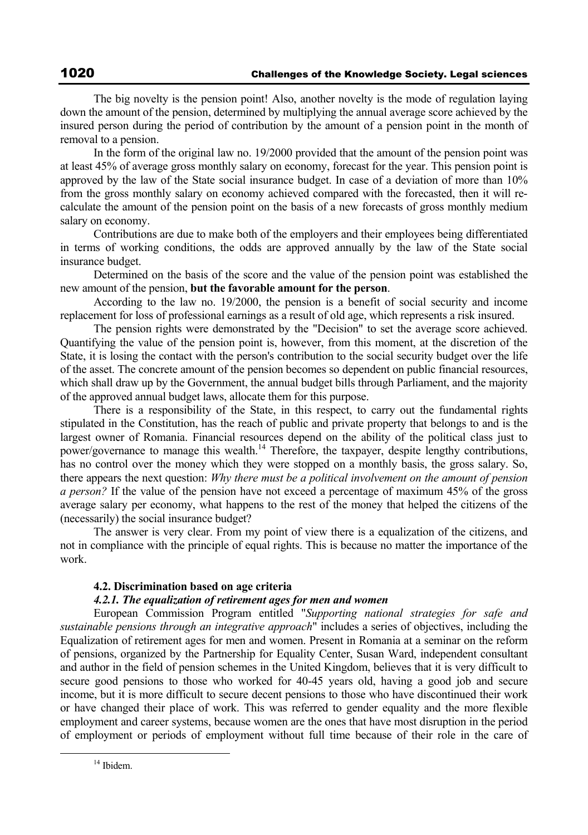The big novelty is the pension point! Also, another novelty is the mode of regulation laying down the amount of the pension, determined by multiplying the annual average score achieved by the insured person during the period of contribution by the amount of a pension point in the month of removal to a pension.

In the form of the original law no. 19/2000 provided that the amount of the pension point was at least 45% of average gross monthly salary on economy, forecast for the year. This pension point is approved by the law of the State social insurance budget. In case of a deviation of more than 10% from the gross monthly salary on economy achieved compared with the forecasted, then it will recalculate the amount of the pension point on the basis of a new forecasts of gross monthly medium salary on economy.

Contributions are due to make both of the employers and their employees being differentiated in terms of working conditions, the odds are approved annually by the law of the State social insurance budget.

Determined on the basis of the score and the value of the pension point was established the new amount of the pension, **but the favorable amount for the person**.

According to the law no. 19/2000, the pension is a benefit of social security and income replacement for loss of professional earnings as a result of old age, which represents a risk insured.

The pension rights were demonstrated by the "Decision" to set the average score achieved. Quantifying the value of the pension point is, however, from this moment, at the discretion of the State, it is losing the contact with the person's contribution to the social security budget over the life of the asset. The concrete amount of the pension becomes so dependent on public financial resources, which shall draw up by the Government, the annual budget bills through Parliament, and the majority of the approved annual budget laws, allocate them for this purpose.

There is a responsibility of the State, in this respect, to carry out the fundamental rights stipulated in the Constitution, has the reach of public and private property that belongs to and is the largest owner of Romania. Financial resources depend on the ability of the political class just to power/governance to manage this wealth.14 Therefore, the taxpayer, despite lengthy contributions, has no control over the money which they were stopped on a monthly basis, the gross salary. So, there appears the next question: *Why there must be a political involvement on the amount of pension a person?* If the value of the pension have not exceed a percentage of maximum 45% of the gross average salary per economy, what happens to the rest of the money that helped the citizens of the (necessarily) the social insurance budget?

The answer is very clear. From my point of view there is a equalization of the citizens, and not in compliance with the principle of equal rights. This is because no matter the importance of the work.

## **4.2. Discrimination based on age criteria**

## *4.2.1. The equalization of retirement ages for men and women*

European Commission Program entitled "*Supporting national strategies for safe and sustainable pensions through an integrative approach*" includes a series of objectives, including the Equalization of retirement ages for men and women. Present in Romania at a seminar on the reform of pensions, organized by the Partnership for Equality Center, Susan Ward, independent consultant and author in the field of pension schemes in the United Kingdom, believes that it is very difficult to secure good pensions to those who worked for 40-45 years old, having a good job and secure income, but it is more difficult to secure decent pensions to those who have discontinued their work or have changed their place of work. This was referred to gender equality and the more flexible employment and career systems, because women are the ones that have most disruption in the period of employment or periods of employment without full time because of their role in the care of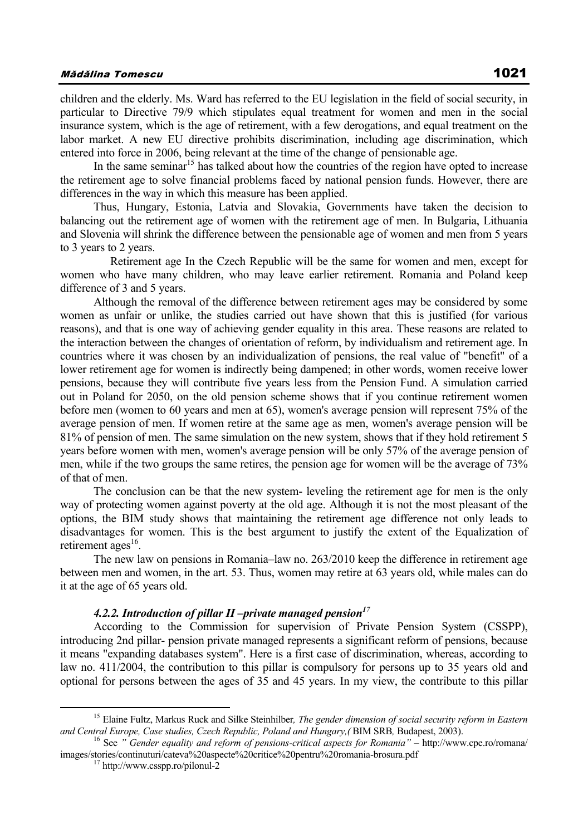children and the elderly. Ms. Ward has referred to the EU legislation in the field of social security, in particular to Directive 79/9 which stipulates equal treatment for women and men in the social insurance system, which is the age of retirement, with a few derogations, and equal treatment on the labor market. A new EU directive prohibits discrimination, including age discrimination, which entered into force in 2006, being relevant at the time of the change of pensionable age.

In the same seminar<sup>15</sup> has talked about how the countries of the region have opted to increase the retirement age to solve financial problems faced by national pension funds. However, there are differences in the way in which this measure has been applied.

Thus, Hungary, Estonia, Latvia and Slovakia, Governments have taken the decision to balancing out the retirement age of women with the retirement age of men. In Bulgaria, Lithuania and Slovenia will shrink the difference between the pensionable age of women and men from 5 years to 3 years to 2 years.

 Retirement age In the Czech Republic will be the same for women and men, except for women who have many children, who may leave earlier retirement. Romania and Poland keep difference of 3 and 5 years.

Although the removal of the difference between retirement ages may be considered by some women as unfair or unlike, the studies carried out have shown that this is justified (for various reasons), and that is one way of achieving gender equality in this area. These reasons are related to the interaction between the changes of orientation of reform, by individualism and retirement age. In countries where it was chosen by an individualization of pensions, the real value of "benefit" of a lower retirement age for women is indirectly being dampened; in other words, women receive lower pensions, because they will contribute five years less from the Pension Fund. A simulation carried out in Poland for 2050, on the old pension scheme shows that if you continue retirement women before men (women to 60 years and men at 65), women's average pension will represent 75% of the average pension of men. If women retire at the same age as men, women's average pension will be 81% of pension of men. The same simulation on the new system, shows that if they hold retirement 5 years before women with men, women's average pension will be only 57% of the average pension of men, while if the two groups the same retires, the pension age for women will be the average of 73% of that of men.

The conclusion can be that the new system- leveling the retirement age for men is the only way of protecting women against poverty at the old age. Although it is not the most pleasant of the options, the BIM study shows that maintaining the retirement age difference not only leads to disadvantages for women. This is the best argument to justify the extent of the Equalization of retirement ages $^{16}$ .

The new law on pensions in Romania–law no. 263/2010 keep the difference in retirement age between men and women, in the art. 53. Thus, women may retire at 63 years old, while males can do it at the age of 65 years old.

### 4.2.2. Introduction of pillar II –private managed pension<sup>17</sup>

According to the Commission for supervision of Private Pension System (CSSPP), introducing 2nd pillar- pension private managed represents a significant reform of pensions, because it means "expanding databases system". Here is a first case of discrimination, whereas, according to law no. 411/2004, the contribution to this pillar is compulsory for persons up to 35 years old and optional for persons between the ages of 35 and 45 years. In my view, the contribute to this pillar

<sup>&</sup>lt;sup>15</sup> Elaine Fultz, Markus Ruck and Silke Steinhilber, *The gender dimension of social security reform in Eastern* and Central Europe, Case studies, Czech Republic, Poland and Hungary, (BIM SRB, Budapest, 2003).<br><sup>16</sup> See " Gender equality and reform of pensions-critical aspects for Romania" – http://www.cpe.ro/romana/

images/stories/continuturi/cateva%20aspecte%20critice%20pentru%20romania-brosura.pdf<br><sup>17</sup> http://www.csspp.ro/pilonul-2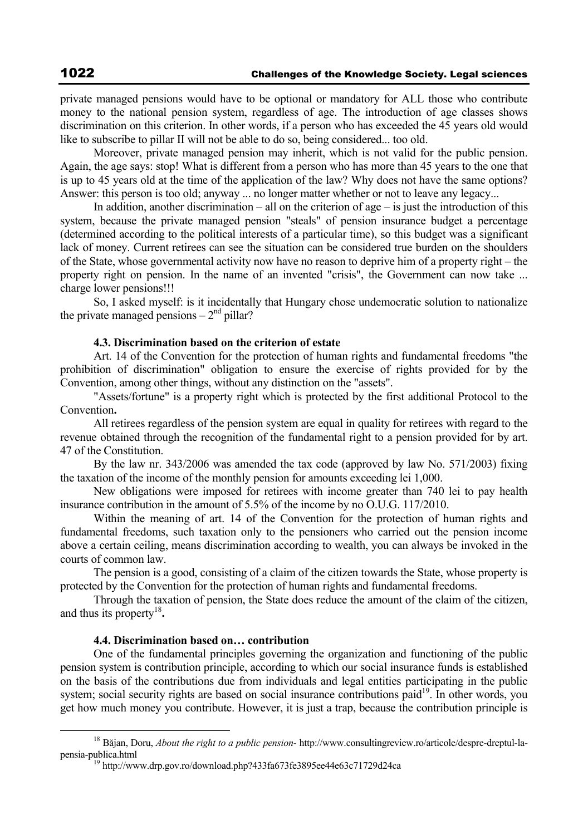private managed pensions would have to be optional or mandatory for ALL those who contribute money to the national pension system, regardless of age. The introduction of age classes shows discrimination on this criterion. In other words, if a person who has exceeded the 45 years old would like to subscribe to pillar II will not be able to do so, being considered... too old.

Moreover, private managed pension may inherit, which is not valid for the public pension. Again, the age says: stop! What is different from a person who has more than 45 years to the one that is up to 45 years old at the time of the application of the law? Why does not have the same options? Answer: this person is too old; anyway ... no longer matter whether or not to leave any legacy...

In addition, another discrimination – all on the criterion of age – is just the introduction of this system, because the private managed pension "steals" of pension insurance budget a percentage (determined according to the political interests of a particular time), so this budget was a significant lack of money. Current retirees can see the situation can be considered true burden on the shoulders of the State, whose governmental activity now have no reason to deprive him of a property right – the property right on pension. In the name of an invented "crisis", the Government can now take ... charge lower pensions!!!

So, I asked myself: is it incidentally that Hungary chose undemocratic solution to nationalize the private managed pensions  $-2<sup>nd</sup>$  pillar?

## **4.3. Discrimination based on the criterion of estate**

Art. 14 of the Convention for the protection of human rights and fundamental freedoms "the prohibition of discrimination" obligation to ensure the exercise of rights provided for by the Convention, among other things, without any distinction on the "assets".

"Assets/fortune" is a property right which is protected by the first additional Protocol to the Convention**.** 

All retirees regardless of the pension system are equal in quality for retirees with regard to the revenue obtained through the recognition of the fundamental right to a pension provided for by art. 47 of the Constitution.

By the law nr. 343/2006 was amended the tax code (approved by law No. 571/2003) fixing the taxation of the income of the monthly pension for amounts exceeding lei 1,000.

New obligations were imposed for retirees with income greater than 740 lei to pay health insurance contribution in the amount of 5.5% of the income by no O.U.G. 117/2010.

Within the meaning of art. 14 of the Convention for the protection of human rights and fundamental freedoms, such taxation only to the pensioners who carried out the pension income above a certain ceiling, means discrimination according to wealth, you can always be invoked in the courts of common law.

The pension is a good, consisting of a claim of the citizen towards the State, whose property is protected by the Convention for the protection of human rights and fundamental freedoms.

Through the taxation of pension, the State does reduce the amount of the claim of the citizen, and thus its property<sup>18</sup>.

## **4.4. Discrimination based on… contribution**

One of the fundamental principles governing the organization and functioning of the public pension system is contribution principle, according to which our social insurance funds is established on the basis of the contributions due from individuals and legal entities participating in the public system; social security rights are based on social insurance contributions paid<sup>19</sup>. In other words, you get how much money you contribute. However, it is just a trap, because the contribution principle is

 <sup>18</sup> Băjan, Doru, *About the right to a public pension*- http://www.consultingreview.ro/articole/despre-dreptul-lapensia-publica.html<br><sup>19</sup> http://www.drp.gov.ro/download.php?433fa673fe3895ee44e63c71729d24ca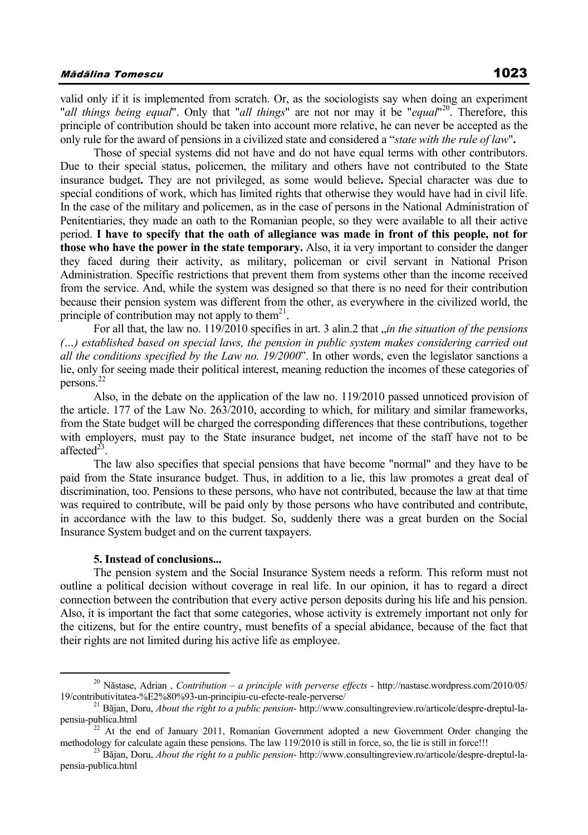valid only if it is implemented from scratch. Or, as the sociologists say when doing an experiment "*all things being equal*". Only that "*all things*" are not nor may it be "*equal*" 20. Therefore, this principle of contribution should be taken into account more relative, he can never be accepted as the only rule for the award of pensions in a civilized state and considered a "*state with the rule of law*"**.** 

Those of special systems did not have and do not have equal terms with other contributors. Due to their special status, policemen, the military and others have not contributed to the State insurance budget**.** They are not privileged, as some would believe**.** Special character was due to special conditions of work, which has limited rights that otherwise they would have had in civil life. In the case of the military and policemen, as in the case of persons in the National Administration of Penitentiaries, they made an oath to the Romanian people, so they were available to all their active period. **I have to specify that the oath of allegiance was made in front of this people, not for those who have the power in the state temporary.** Also, it ia very important to consider the danger they faced during their activity, as military, policeman or civil servant in National Prison Administration. Specific restrictions that prevent them from systems other than the income received from the service. And, while the system was designed so that there is no need for their contribution because their pension system was different from the other, as everywhere in the civilized world, the principle of contribution may not apply to them<sup>21</sup>.

For all that, the law no. 119/2010 specifies in art. 3 alin.2 that *, in the situation of the pensions (…) established based on special laws, the pension in public system makes considering carried out all the conditions specified by the Law no. 19/2000*". In other words, even the legislator sanctions a lie, only for seeing made their political interest, meaning reduction the incomes of these categories of persons.22

Also, in the debate on the application of the law no. 119/2010 passed unnoticed provision of the article. 177 of the Law No. 263/2010, according to which, for military and similar frameworks, from the State budget will be charged the corresponding differences that these contributions, together with employers, must pay to the State insurance budget, net income of the staff have not to be affected $^{23}$ .

The law also specifies that special pensions that have become "normal" and they have to be paid from the State insurance budget. Thus, in addition to a lie, this law promotes a great deal of discrimination, too. Pensions to these persons, who have not contributed, because the law at that time was required to contribute, will be paid only by those persons who have contributed and contribute. in accordance with the law to this budget. So, suddenly there was a great burden on the Social Insurance System budget and on the current taxpayers.

#### **5. Instead of conclusions...**

The pension system and the Social Insurance System needs a reform. This reform must not outline a political decision without coverage in real life. In our opinion, it has to regard a direct connection between the contribution that every active person deposits during his life and his pension. Also, it is important the fact that some categories, whose activity is extremely important not only for the citizens, but for the entire country, must benefits of a special abidance, because of the fact that their rights are not limited during his active life as employee.

<sup>&</sup>lt;sup>20</sup> Năstase, Adrian , *Contribution – a principle with perverse effects* - http://nastase.wordpress.com/2010/05/<br>19/contributivitatea-%E2%80%93-un-principiu-cu-efecte-reale-perverse/

<sup>&</sup>lt;sup>21</sup> Băjan, Doru, *About the right to a public pension*- http://www.consultingreview.ro/articole/despre-dreptul-lapensia-publica.html 22 At the end of January 2011, Romanian Government adopted a new Government Order changing the

methodology for calculate again these pensions. The law 119/2010 is still in force, so, the lie is still in force!!!<br><sup>23</sup> Băjan, Doru, *About the right to a public pension*- http://www.consultingreview.ro/articole/despre-d pensia-publica.html